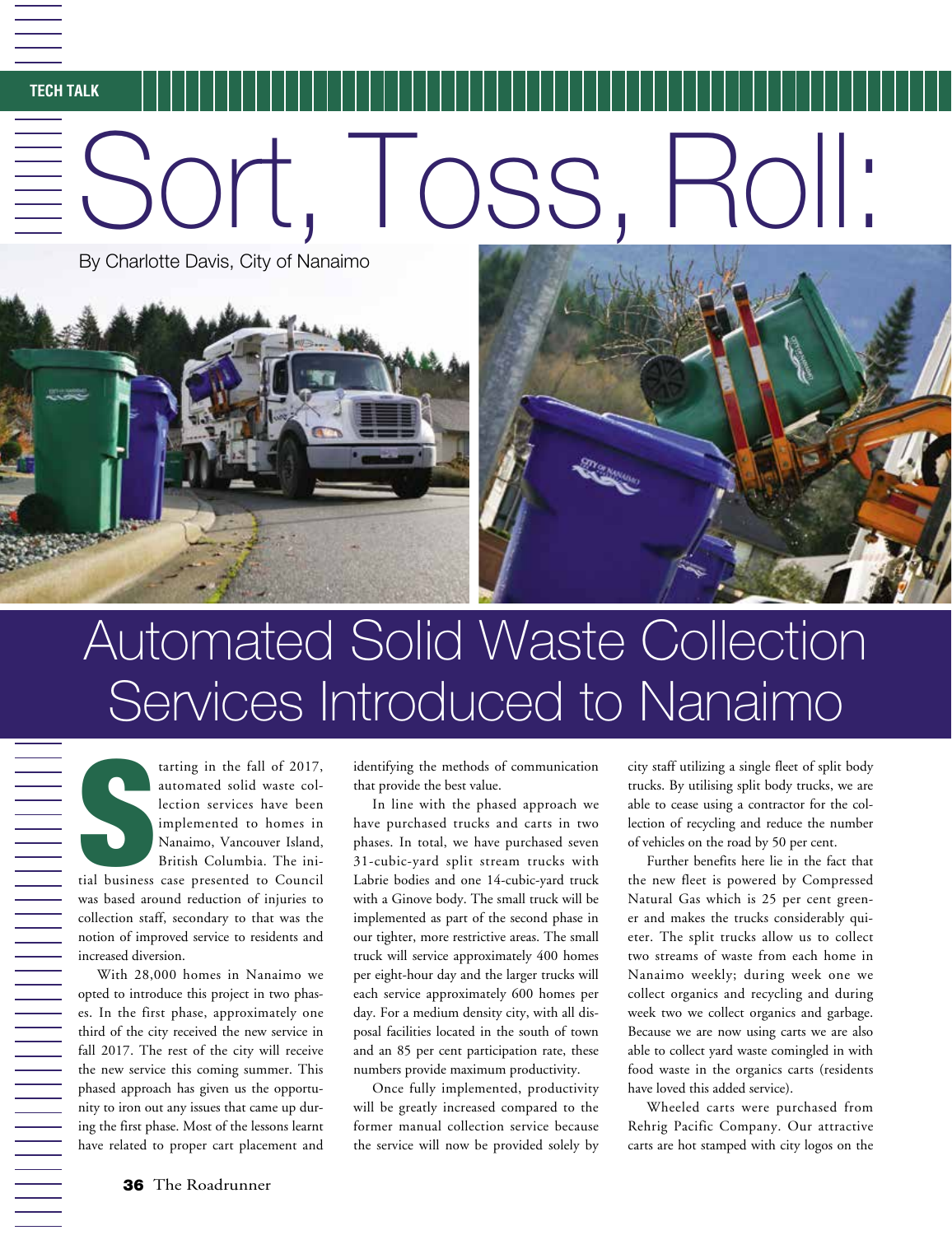## **TECH TALK**  $\equiv$  Sort, Toss,

By Charlotte Davis, City of Nanaimo



## Automated Solid Waste Collection Services Introduced to Nanaimo

Surface Services tarting in the fall of 2017, automated solid waste collection services have been implemented to homes in Nanaimo, Vancouver Island, British Columbia. The initial business case presented to Council was based around reduction of injuries to collection staff, secondary to that was the notion of improved service to residents and increased diversion.

With 28,000 homes in Nanaimo we opted to introduce this project in two phases. In the first phase, approximately one third of the city received the new service in fall 2017. The rest of the city will receive the new service this coming summer. This phased approach has given us the opportunity to iron out any issues that came up during the first phase. Most of the lessons learnt have related to proper cart placement and

identifying the methods of communication that provide the best value.

In line with the phased approach we have purchased trucks and carts in two phases. In total, we have purchased seven 31-cubic-yard split stream trucks with Labrie bodies and one 14-cubic-yard truck with a Ginove body. The small truck will be implemented as part of the second phase in our tighter, more restrictive areas. The small truck will service approximately 400 homes per eight-hour day and the larger trucks will each service approximately 600 homes per day. For a medium density city, with all disposal facilities located in the south of town and an 85 per cent participation rate, these numbers provide maximum productivity.

Once fully implemented, productivity will be greatly increased compared to the former manual collection service because the service will now be provided solely by city staff utilizing a single fleet of split body trucks. By utilising split body trucks, we are able to cease using a contractor for the collection of recycling and reduce the number of vehicles on the road by 50 per cent.

Further benefits here lie in the fact that the new fleet is powered by Compressed Natural Gas which is 25 per cent greener and makes the trucks considerably quieter. The split trucks allow us to collect two streams of waste from each home in Nanaimo weekly; during week one we collect organics and recycling and during week two we collect organics and garbage. Because we are now using carts we are also able to collect yard waste comingled in with food waste in the organics carts (residents have loved this added service).

Wheeled carts were purchased from Rehrig Pacific Company. Our attractive carts are hot stamped with city logos on the